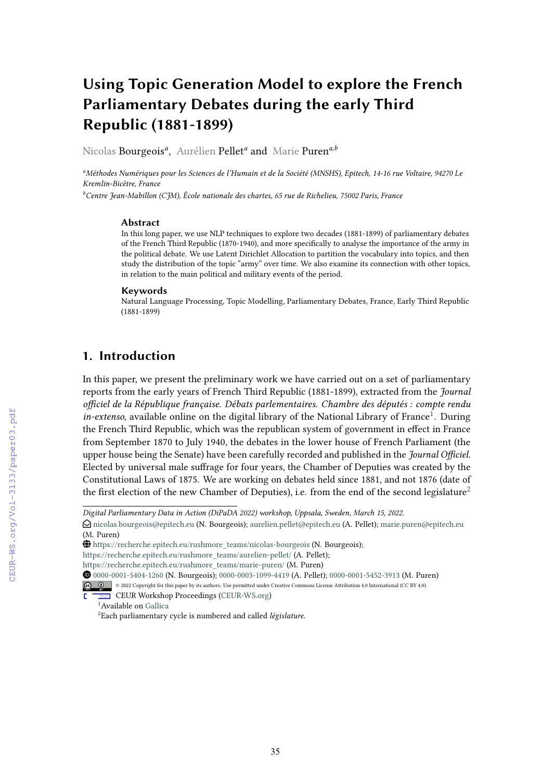# **Using Topic Generation Model to explore the French Parliamentary Debates during the early Third Republic (1881-1899)**

Nicolas Bourgeois*<sup>a</sup>* , Aurélien Pellet*<sup>a</sup>* and Marie Puren*a,b*

*<sup>a</sup>Méthodes Numériques pour les Sciences de l'Humain et de la Société (MNSHS), Epitech, 14-16 rue Voltaire, 94270 Le Kremlin-Bicêtre, France*

*<sup>b</sup>Centre Jean-Mabillon (CJM), École nationale des chartes, 65 rue de Richelieu, 75002 Paris, France*

#### **Abstract**

In this long paper, we use NLP techniques to explore two decades (1881-1899) of parliamentary debates of the French Third Republic (1870-1940), and more specifically to analyse the importance of the army in the political debate. We use Latent Dirichlet Allocation to partition the vocabulary into topics, and then study the distribution of the topic "army" over time. We also examine its connection with other topics, in relation to the main political and military events of the period.

#### **Keywords**

Natural Language Processing, Topic Modelling, Parliamentary Debates, France, Early Third Republic (1881-1899)

# **1. Introduction**

In this paper, we present the preliminary work we have carried out on a set of parliamentary reports from the early years of French Third Republic (1881-1899), extracted from the *Journal officiel de la République française. Débats parlementaires. Chambre des députés : compte rendu* in-extenso, available online on the digital library of the National Library of France<sup>[1](#page-0-0)</sup>. During the French Third Republic, which was the republican system of government in effect in France from September 1870 to July 1940, the debates in the lower house of French Parliament (the upper house being the Senate) have been carefully recorded and published in the *Journal Officiel*. Elected by universal male suffrage for four years, the Chamber of Deputies was created by the Constitutional Laws of 1875. We are working on debates held since 1881, and not 1876 (date of th[e](#page-0-1) first election of the new Chamber of Deputies), i.e. from the end of the second legislature<sup>2</sup>

*Digital Parliamentary Data in Action (DiPaDA 2022) workshop, Uppsala, Sweden, March 15, 2022.*

 $\odot$ [nicolas.bourgeois@epitech.eu](mailto:nicolas.bourgeois@epitech.eu) (N. Bourgeois); [aurelien.pellet@epitech.eu](mailto:aurelien.pellet@epitech.eu) (A. Pellet); [marie.puren@epitech.eu](mailto:marie.puren@epitech.eu) (M. Puren)

GLOBE [https://recherche.epitech.eu/rushmore\\_teams/nicolas-bourgeois](https://recherche.epitech.eu/rushmore_teams/nicolas-bourgeois) (N. Bourgeois);

[https://recherche.epitech.eu/rushmore\\_teams/aurelien-pellet/](https://recherche.epitech.eu/rushmore_teams/aurelien-pellet/) (A. Pellet);

[https://recherche.epitech.eu/rushmore\\_teams/marie-puren/](https://recherche.epitech.eu/rushmore_teams/marie-puren/) (M. Puren)

Orcid [0000-0001-5404-1260](https://orcid.org/0000-0001-5404-1260) (N. Bourgeois); [0000-0003-1099-4419](https://orcid.org/0000-0003-1099-4419) (A. Pellet); [0000-0001-5452-3913](https://orcid.org/0000-0001-5452-3913) (M. Puren)

<sup>©</sup> 2022 Copyright for this paper by its authors. Use permitted under Creative Commons License Attribution 4.0 International (CC BY 4.0).

CEUR Workshop **THE CEUR Workshop [Proceedings](http://ceur-ws.org) [\(CEUR-WS.org](http://ceur-ws.org))** 

<sup>&</sup>lt;sup>1</sup> Available on [Gallica](https://gallica.bnf.fr/ark:/12148/cb328020951/date.item)

<span id="page-0-1"></span><span id="page-0-0"></span><sup>2</sup>Each parliamentary cycle is numbered and called *législature*.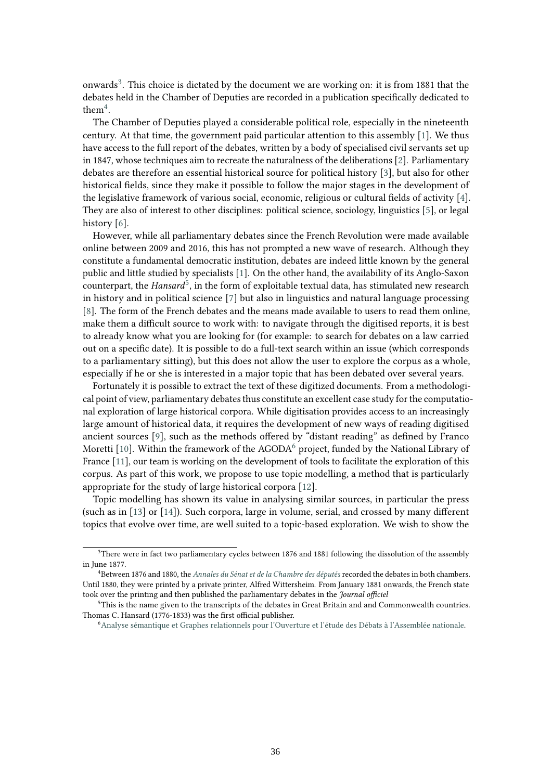onwards<sup>[3](#page-1-0)</sup>. This choice is dictated by the document we are working on: it is from 1881 that the debates held in the Chamber of Deputies are recorded in a publication specifically dedicated to them $4$ .

The Chamber of Deputies played a considerable political role, especially in the nineteenth century. At that time, the government paid particular attention to this assembly [\[1\]](#page-15-0). We thus have access to the full report of the debates, written by a body of specialised civil servants set up in 1847, whose techniques aim to recreate the naturalness of the deliberations [\[2\]](#page-15-1). Parliamentary debates are therefore an essential historical source for political history [\[3\]](#page-15-2), but also for other historical fields, since they make it possible to follow the major stages in the development of the legislative framework of various social, economic, religious or cultural fields of activity [\[4\]](#page-15-3). They are also of interest to other disciplines: political science, sociology, linguistics [\[5\]](#page-15-4), or legal history [\[6\]](#page-15-5).

However, while all parliamentary debates since the French Revolution were made available online between 2009 and 2016, this has not prompted a new wave of research. Although they constitute a fundamental democratic institution, debates are indeed little known by the general public and little studied by specialists [\[1\]](#page-15-0). On the other hand, the availability of its Anglo-Saxon counterpart, the *Hansard*<sup>[5](#page-1-2)</sup>, in the form of exploitable textual data, has stimulated new research in history and in political science [\[7\]](#page-15-6) but also in linguistics and natural language processing [\[8\]](#page-15-7). The form of the French debates and the means made available to users to read them online, make them a difficult source to work with: to navigate through the digitised reports, it is best to already know what you are looking for (for example: to search for debates on a law carried out on a specific date). It is possible to do a full-text search within an issue (which corresponds to a parliamentary sitting), but this does not allow the user to explore the corpus as a whole, especially if he or she is interested in a major topic that has been debated over several years.

Fortunately it is possible to extract the text of these digitized documents. From a methodological point of view, parliamentary debates thus constitute an excellent case study for the computational exploration of large historical corpora. While digitisation provides access to an increasingly large amount of historical data, it requires the development of new ways of reading digitised ancient sources [\[9\]](#page-16-0), such as the methods offered by "distant reading" as defined by Franco Moretti [\[10\]](#page-16-1). Within the framework of the AGODA<sup>[6](#page-1-3)</sup> project, funded by the National Library of France [\[11\]](#page-16-2), our team is working on the development of tools to facilitate the exploration of this corpus. As part of this work, we propose to use topic modelling, a method that is particularly appropriate for the study of large historical corpora [\[12\]](#page-16-3).

Topic modelling has shown its value in analysing similar sources, in particular the press (such as in [\[13\]](#page-16-4) or [\[14\]](#page-16-5)). Such corpora, large in volume, serial, and crossed by many different topics that evolve over time, are well suited to a topic-based exploration. We wish to show the

<span id="page-1-0"></span><sup>3</sup>There were in fact two parliamentary cycles between 1876 and 1881 following the dissolution of the assembly in June 1877.

<span id="page-1-1"></span><sup>4</sup>Between 1876 and 1880, the *[Annales du Sénat et de la Chambre des députés](https://gallica.bnf.fr/ark:/12148/cb32694473t/date)* recorded the debates in both chambers. Until 1880, they were printed by a private printer, Alfred Wittersheim. From January 1881 onwards, the French state took over the printing and then published the parliamentary debates in the *Journal officiel*

<span id="page-1-2"></span><sup>5</sup>This is the name given to the transcripts of the debates in Great Britain and and Commonwealth countries. Thomas C. Hansard (1776-1833) was the first official publisher.

<span id="page-1-3"></span><sup>6</sup>[Analyse sémantique et Graphes relationnels pour l'Ouverture et l'étude des Débats à l'Assemblée nationale.](https://www.bnf.fr/fr/les-projets-de-recherche#bnf-agoda)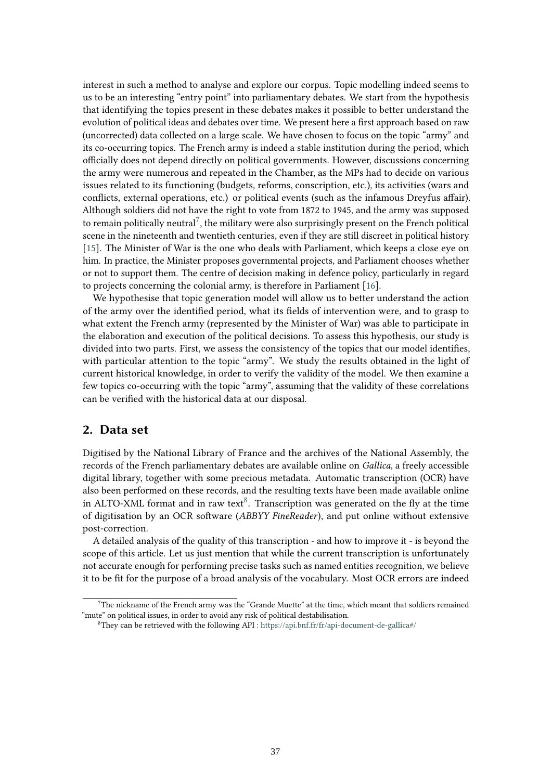interest in such a method to analyse and explore our corpus. Topic modelling indeed seems to us to be an interesting "entry point" into parliamentary debates. We start from the hypothesis that identifying the topics present in these debates makes it possible to better understand the evolution of political ideas and debates over time. We present here a first approach based on raw (uncorrected) data collected on a large scale. We have chosen to focus on the topic "army" and its co-occurring topics. The French army is indeed a stable institution during the period, which officially does not depend directly on political governments. However, discussions concerning the army were numerous and repeated in the Chamber, as the MPs had to decide on various issues related to its functioning (budgets, reforms, conscription, etc.), its activities (wars and conflicts, external operations, etc.) or political events (such as the infamous Dreyfus affair). Although soldiers did not have the right to vote from 1872 to 1945, and the army was supposed to remain politically neutral<sup>[7](#page-2-0)</sup>, the military were also surprisingly present on the French political scene in the nineteenth and twentieth centuries, even if they are still discreet in political history [\[15\]](#page-16-6). The Minister of War is the one who deals with Parliament, which keeps a close eye on him. In practice, the Minister proposes governmental projects, and Parliament chooses whether or not to support them. The centre of decision making in defence policy, particularly in regard to projects concerning the colonial army, is therefore in Parliament [\[16\]](#page-16-7).

We hypothesise that topic generation model will allow us to better understand the action of the army over the identified period, what its fields of intervention were, and to grasp to what extent the French army (represented by the Minister of War) was able to participate in the elaboration and execution of the political decisions. To assess this hypothesis, our study is divided into two parts. First, we assess the consistency of the topics that our model identifies, with particular attention to the topic "army". We study the results obtained in the light of current historical knowledge, in order to verify the validity of the model. We then examine a few topics co-occurring with the topic "army", assuming that the validity of these correlations can be verified with the historical data at our disposal.

### **2. Data set**

Digitised by the National Library of France and the archives of the National Assembly, the records of the French parliamentary debates are available online on *Gallica*, a freely accessible digital library, together with some precious metadata. Automatic transcription (OCR) have also been performed on these records, and the resulting texts have been made available online in ALTO-XML format and in raw text $8$ . Transcription was generated on the fly at the time of digitisation by an OCR software (*ABBYY FineReader*), and put online without extensive post-correction.

A detailed analysis of the quality of this transcription - and how to improve it - is beyond the scope of this article. Let us just mention that while the current transcription is unfortunately not accurate enough for performing precise tasks such as named entities recognition, we believe it to be fit for the purpose of a broad analysis of the vocabulary. Most OCR errors are indeed

<span id="page-2-0"></span> $7$ The nickname of the French army was the "Grande Muette" at the time, which meant that soldiers remained "mute" on political issues, in order to avoid any risk of political destabilisation.

<span id="page-2-1"></span><sup>&</sup>lt;sup>8</sup>They can be retrieved with the following API : <https://api.bnf.fr/fr/api-document-de-gallica#/>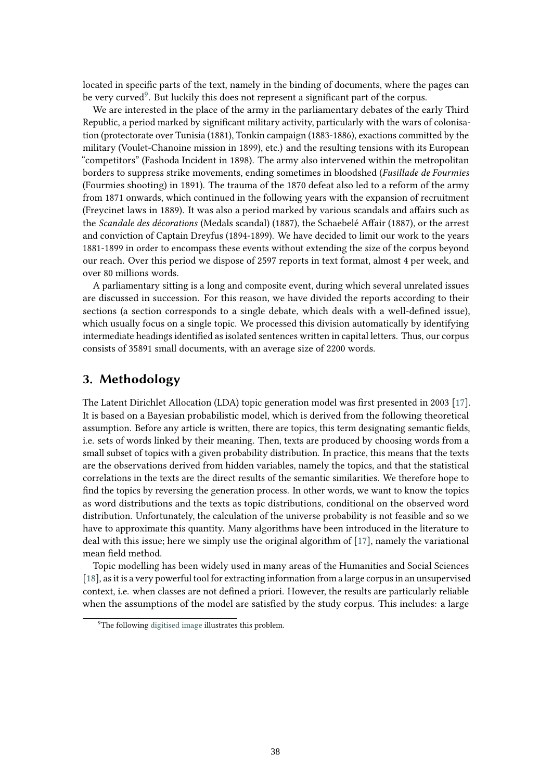located in specific parts of the text, namely in the binding of documents, where the pages can be very curved $^9$  $^9$ . But luckily this does not represent a significant part of the corpus.

We are interested in the place of the army in the parliamentary debates of the early Third Republic, a period marked by significant military activity, particularly with the wars of colonisation (protectorate over Tunisia (1881), Tonkin campaign (1883-1886), exactions committed by the military (Voulet-Chanoine mission in 1899), etc.) and the resulting tensions with its European "competitors" (Fashoda Incident in 1898). The army also intervened within the metropolitan borders to suppress strike movements, ending sometimes in bloodshed (*Fusillade de Fourmies* (Fourmies shooting) in 1891). The trauma of the 1870 defeat also led to a reform of the army from 1871 onwards, which continued in the following years with the expansion of recruitment (Freycinet laws in 1889). It was also a period marked by various scandals and affairs such as the *Scandale des décorations* (Medals scandal) (1887), the Schaebelé Affair (1887), or the arrest and conviction of Captain Dreyfus (1894-1899). We have decided to limit our work to the years 1881-1899 in order to encompass these events without extending the size of the corpus beyond our reach. Over this period we dispose of 2597 reports in text format, almost 4 per week, and over 80 millions words.

A parliamentary sitting is a long and composite event, during which several unrelated issues are discussed in succession. For this reason, we have divided the reports according to their sections (a section corresponds to a single debate, which deals with a well-defined issue), which usually focus on a single topic. We processed this division automatically by identifying intermediate headings identified as isolated sentences written in capital letters. Thus, our corpus consists of 35891 small documents, with an average size of 2200 words.

## **3. Methodology**

The Latent Dirichlet Allocation (LDA) topic generation model was first presented in 2003 [\[17\]](#page-16-8). It is based on a Bayesian probabilistic model, which is derived from the following theoretical assumption. Before any article is written, there are topics, this term designating semantic fields, i.e. sets of words linked by their meaning. Then, texts are produced by choosing words from a small subset of topics with a given probability distribution. In practice, this means that the texts are the observations derived from hidden variables, namely the topics, and that the statistical correlations in the texts are the direct results of the semantic similarities. We therefore hope to find the topics by reversing the generation process. In other words, we want to know the topics as word distributions and the texts as topic distributions, conditional on the observed word distribution. Unfortunately, the calculation of the universe probability is not feasible and so we have to approximate this quantity. Many algorithms have been introduced in the literature to deal with this issue; here we simply use the original algorithm of [\[17\]](#page-16-8), namely the variational mean field method.

Topic modelling has been widely used in many areas of the Humanities and Social Sciences [\[18\]](#page-16-9), as it is a very powerful tool for extracting information from a large corpus in an unsupervised context, i.e. when classes are not defined a priori. However, the results are particularly reliable when the assumptions of the model are satisfied by the study corpus. This includes: a large

<span id="page-3-0"></span><sup>&</sup>lt;sup>9</sup>The following [digitised image](https://gallica.bnf.fr/ark:/12148/bpt6k6573444t/f1.image) illustrates this problem.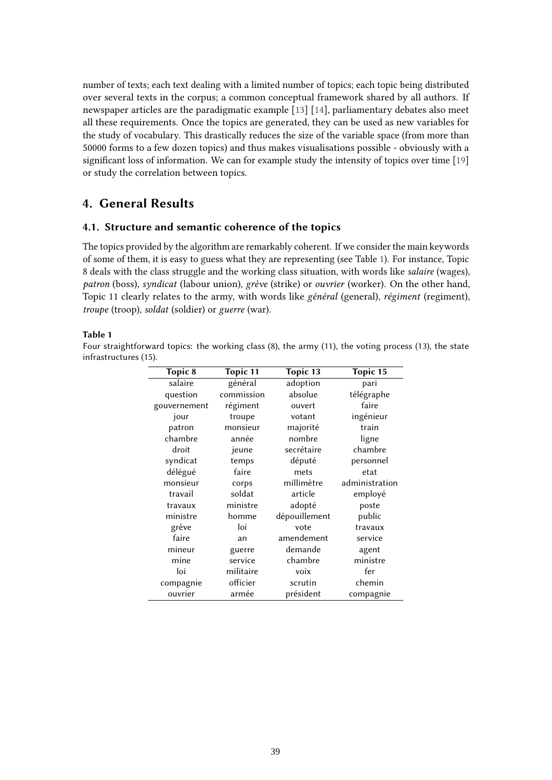number of texts; each text dealing with a limited number of topics; each topic being distributed over several texts in the corpus; a common conceptual framework shared by all authors. If newspaper articles are the paradigmatic example [\[13\]](#page-16-4) [\[14\]](#page-16-5), parliamentary debates also meet all these requirements. Once the topics are generated, they can be used as new variables for the study of vocabulary. This drastically reduces the size of the variable space (from more than 50000 forms to a few dozen topics) and thus makes visualisations possible - obviously with a significant loss of information. We can for example study the intensity of topics over time [\[19\]](#page-16-10) or study the correlation between topics.

# **4. General Results**

### **4.1. Structure and semantic coherence of the topics**

The topics provided by the algorithm are remarkably coherent. If we consider the main keywords of some of them, it is easy to guess what they are representing (see Table [1\)](#page-4-0). For instance, Topic 8 deals with the class struggle and the working class situation, with words like *salaire* (wages), *patron* (boss), *syndicat* (labour union), *grève* (strike) or *ouvrier* (worker). On the other hand, Topic 11 clearly relates to the army, with words like *général* (general), *régiment* (regiment), *troupe* (troop), *soldat* (soldier) or *guerre* (war).

#### <span id="page-4-0"></span>**Table 1**

Four straightforward topics: the working class (8), the army (11), the voting process (13), the state infrastructures (15).

| Topic 8      | <b>Topic 11</b> | Topic 13      | Topic 15       |  |
|--------------|-----------------|---------------|----------------|--|
| salaire      | général         | adoption      | pari           |  |
| question     | commission      | absolue       | télégraphe     |  |
| gouvernement | régiment        | ouvert        | faire          |  |
| jour         | troupe          | votant        | ingénieur      |  |
| patron       | monsieur        | majorité      | train          |  |
| chambre      | année           | nombre        | ligne          |  |
| droit        | jeune           | secrétaire    | chambre        |  |
| syndicat     | temps           | député        | personnel      |  |
| délégué      | faire           | mets          | etat           |  |
| monsieur     | corps           | millimètre    | administration |  |
| travail      | soldat          | article       | employé        |  |
| travaux      | ministre        | adopté        | poste          |  |
| ministre     | homme           | dépouillement | public         |  |
| grève        | loi             | vote          | travaux        |  |
| faire        | an              | amendement    | service        |  |
| mineur       | guerre          | demande       | agent          |  |
| mine         | service         | chambre       | ministre       |  |
| loi          | militaire       | voix          | fer            |  |
| compagnie    | officier        | scrutin       | chemin         |  |
| ouvrier      | armée           | président     | compagnie      |  |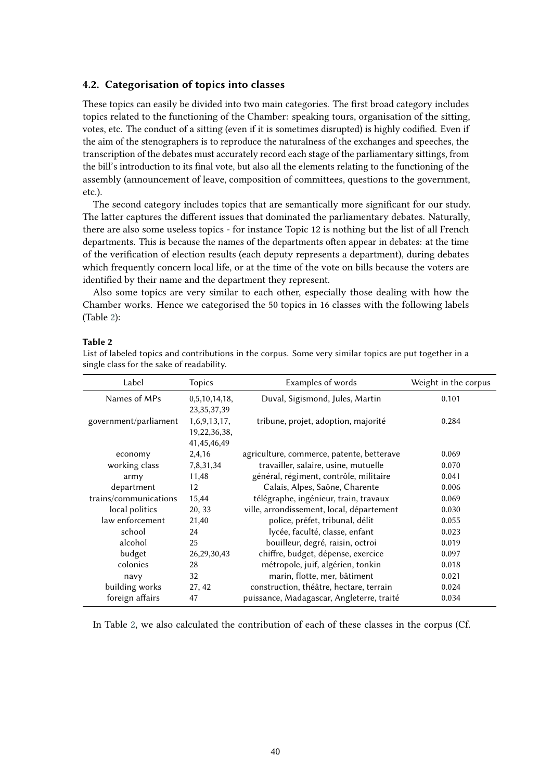#### **4.2. Categorisation of topics into classes**

These topics can easily be divided into two main categories. The first broad category includes topics related to the functioning of the Chamber: speaking tours, organisation of the sitting, votes, etc. The conduct of a sitting (even if it is sometimes disrupted) is highly codified. Even if the aim of the stenographers is to reproduce the naturalness of the exchanges and speeches, the transcription of the debates must accurately record each stage of the parliamentary sittings, from the bill's introduction to its final vote, but also all the elements relating to the functioning of the assembly (announcement of leave, composition of committees, questions to the government, etc.).

The second category includes topics that are semantically more significant for our study. The latter captures the different issues that dominated the parliamentary debates. Naturally, there are also some useless topics - for instance Topic 12 is nothing but the list of all French departments. This is because the names of the departments often appear in debates: at the time of the verification of election results (each deputy represents a department), during debates which frequently concern local life, or at the time of the vote on bills because the voters are identified by their name and the department they represent.

Also some topics are very similar to each other, especially those dealing with how the Chamber works. Hence we categorised the 50 topics in 16 classes with the following labels (Table [2\)](#page-5-0):

### <span id="page-5-0"></span>**Table 2**

List of labeled topics and contributions in the corpus. Some very similar topics are put together in a single class for the sake of readability.

| Label                 | <b>Topics</b>  | Examples of words                         | Weight in the corpus |  |
|-----------------------|----------------|-------------------------------------------|----------------------|--|
| Names of MPs          | 0,5,10,14,18,  | Duval, Sigismond, Jules, Martin           | 0.101                |  |
|                       | 23, 35, 37, 39 |                                           |                      |  |
| government/parliament | 1,6,9,13,17,   | tribune, projet, adoption, majorité       | 0.284                |  |
|                       | 19,22,36,38,   |                                           |                      |  |
|                       | 41,45,46,49    |                                           |                      |  |
| economy               | 2,4,16         | agriculture, commerce, patente, betterave | 0.069                |  |
| working class         | 7,8,31,34      | travailler, salaire, usine, mutuelle      | 0.070                |  |
| army                  | 11,48          | général, régiment, contrôle, militaire    | 0.041                |  |
| department            | 12             | Calais, Alpes, Saône, Charente            | 0.006                |  |
| trains/communications | 15,44          | télégraphe, ingénieur, train, travaux     | 0.069                |  |
| local politics        | 20, 33         | ville, arrondissement, local, département | 0.030                |  |
| law enforcement       | 21,40          | police, préfet, tribunal, délit           | 0.055                |  |
| school                | 24             | lycée, faculté, classe, enfant            | 0.023                |  |
| alcohol               | 25             | bouilleur, degré, raisin, octroi          | 0.019                |  |
| budget                | 26, 29, 30, 43 | chiffre, budget, dépense, exercice        | 0.097                |  |
| colonies              | 28             | métropole, juif, algérien, tonkin         | 0.018                |  |
| navy                  | 32             | marin, flotte, mer, bâtiment              | 0.021                |  |
| building works        | 27, 42         | construction, théâtre, hectare, terrain   | 0.024                |  |
| foreign affairs       | 47             | puissance, Madagascar, Angleterre, traité | 0.034                |  |

In Table [2,](#page-5-0) we also calculated the contribution of each of these classes in the corpus (Cf.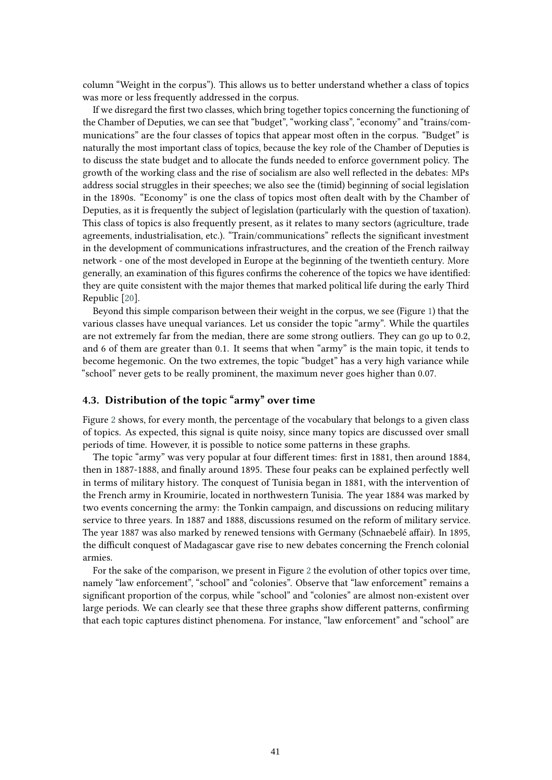column "Weight in the corpus"). This allows us to better understand whether a class of topics was more or less frequently addressed in the corpus.

If we disregard the first two classes, which bring together topics concerning the functioning of the Chamber of Deputies, we can see that "budget", "working class", "economy" and "trains/communications" are the four classes of topics that appear most often in the corpus. "Budget" is naturally the most important class of topics, because the key role of the Chamber of Deputies is to discuss the state budget and to allocate the funds needed to enforce government policy. The growth of the working class and the rise of socialism are also well reflected in the debates: MPs address social struggles in their speeches; we also see the (timid) beginning of social legislation in the 1890s. "Economy" is one the class of topics most often dealt with by the Chamber of Deputies, as it is frequently the subject of legislation (particularly with the question of taxation). This class of topics is also frequently present, as it relates to many sectors (agriculture, trade agreements, industrialisation, etc.). "Train/communications" reflects the significant investment in the development of communications infrastructures, and the creation of the French railway network - one of the most developed in Europe at the beginning of the twentieth century. More generally, an examination of this figures confirms the coherence of the topics we have identified: they are quite consistent with the major themes that marked political life during the early Third Republic [\[20\]](#page-16-11).

Beyond this simple comparison between their weight in the corpus, we see (Figure [1\)](#page-7-0) that the various classes have unequal variances. Let us consider the topic "army". While the quartiles are not extremely far from the median, there are some strong outliers. They can go up to 0.2, and 6 of them are greater than 0.1. It seems that when "army" is the main topic, it tends to become hegemonic. On the two extremes, the topic "budget" has a very high variance while "school" never gets to be really prominent, the maximum never goes higher than 0.07.

### **4.3. Distribution of the topic "army" over time**

Figure [2](#page-8-0) shows, for every month, the percentage of the vocabulary that belongs to a given class of topics. As expected, this signal is quite noisy, since many topics are discussed over small periods of time. However, it is possible to notice some patterns in these graphs.

The topic "army" was very popular at four different times: first in 1881, then around 1884, then in 1887-1888, and finally around 1895. These four peaks can be explained perfectly well in terms of military history. The conquest of Tunisia began in 1881, with the intervention of the French army in Kroumirie, located in northwestern Tunisia. The year 1884 was marked by two events concerning the army: the Tonkin campaign, and discussions on reducing military service to three years. In 1887 and 1888, discussions resumed on the reform of military service. The year 1887 was also marked by renewed tensions with Germany (Schnaebelé affair). In 1895, the difficult conquest of Madagascar gave rise to new debates concerning the French colonial armies.

For the sake of the comparison, we present in Figure [2](#page-8-0) the evolution of other topics over time, namely "law enforcement", "school" and "colonies". Observe that "law enforcement" remains a significant proportion of the corpus, while "school" and "colonies" are almost non-existent over large periods. We can clearly see that these three graphs show different patterns, confirming that each topic captures distinct phenomena. For instance, "law enforcement" and "school" are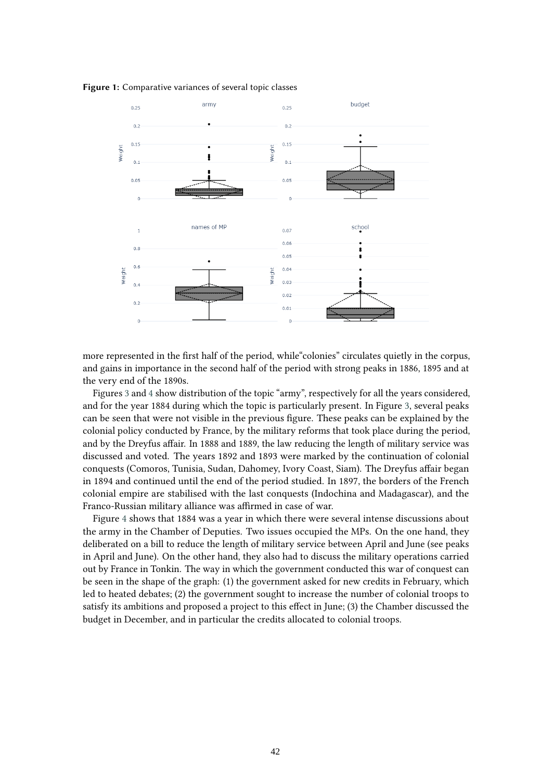<span id="page-7-0"></span>



more represented in the first half of the period, while"colonies" circulates quietly in the corpus, and gains in importance in the second half of the period with strong peaks in 1886, 1895 and at the very end of the 1890s.

Figures [3](#page-8-1) and [4](#page-9-0) show distribution of the topic "army", respectively for all the years considered, and for the year 1884 during which the topic is particularly present. In Figure [3,](#page-8-1) several peaks can be seen that were not visible in the previous figure. These peaks can be explained by the colonial policy conducted by France, by the military reforms that took place during the period, and by the Dreyfus affair. In 1888 and 1889, the law reducing the length of military service was discussed and voted. The years 1892 and 1893 were marked by the continuation of colonial conquests (Comoros, Tunisia, Sudan, Dahomey, Ivory Coast, Siam). The Dreyfus affair began in 1894 and continued until the end of the period studied. In 1897, the borders of the French colonial empire are stabilised with the last conquests (Indochina and Madagascar), and the Franco-Russian military alliance was affirmed in case of war.

Figure [4](#page-9-0) shows that 1884 was a year in which there were several intense discussions about the army in the Chamber of Deputies. Two issues occupied the MPs. On the one hand, they deliberated on a bill to reduce the length of military service between April and June (see peaks in April and June). On the other hand, they also had to discuss the military operations carried out by France in Tonkin. The way in which the government conducted this war of conquest can be seen in the shape of the graph: (1) the government asked for new credits in February, which led to heated debates; (2) the government sought to increase the number of colonial troops to satisfy its ambitions and proposed a project to this effect in June; (3) the Chamber discussed the budget in December, and in particular the credits allocated to colonial troops.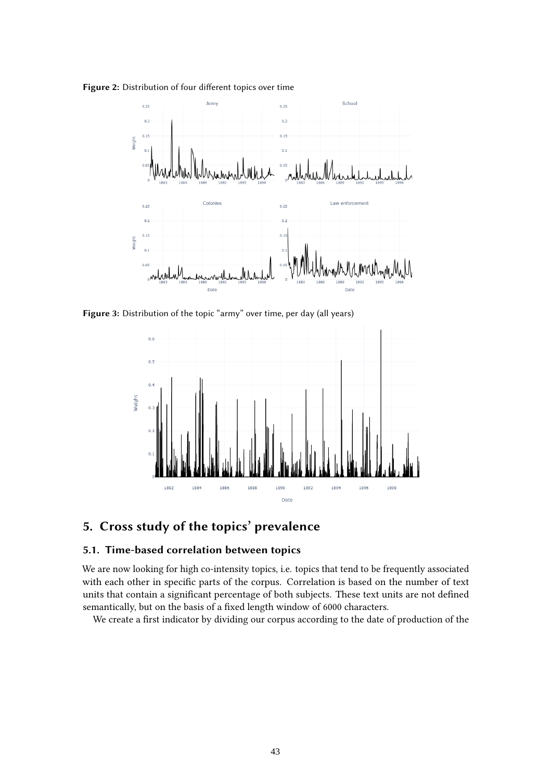<span id="page-8-0"></span>**Figure 2:** Distribution of four different topics over time



<span id="page-8-1"></span>**Figure 3:** Distribution of the topic "army" over time, per day (all years)



# **5. Cross study of the topics' prevalence**

### **5.1. Time-based correlation between topics**

We are now looking for high co-intensity topics, i.e. topics that tend to be frequently associated with each other in specific parts of the corpus. Correlation is based on the number of text units that contain a significant percentage of both subjects. These text units are not defined semantically, but on the basis of a fixed length window of 6000 characters.

We create a first indicator by dividing our corpus according to the date of production of the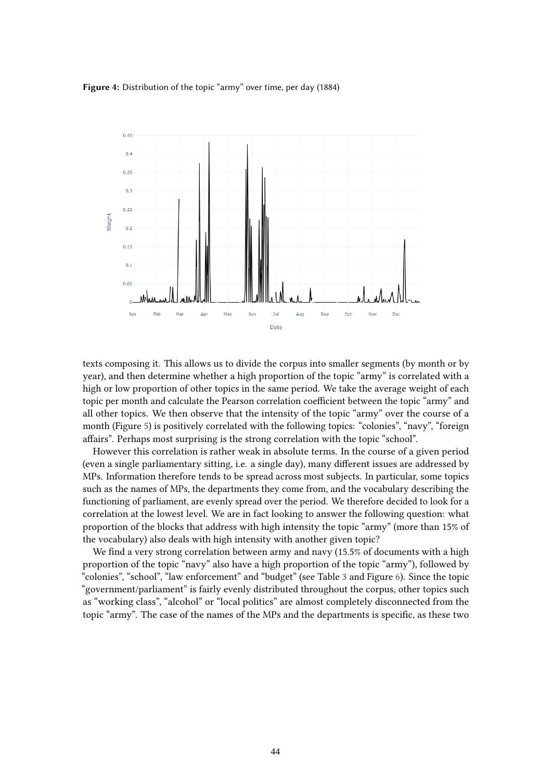#### <span id="page-9-0"></span>**Figure 4:** Distribution of the topic "army" over time, per day (1884)



texts composing it. This allows us to divide the corpus into smaller segments (by month or by year), and then determine whether a high proportion of the topic "army" is correlated with a high or low proportion of other topics in the same period. We take the average weight of each topic per month and calculate the Pearson correlation coefficient between the topic "army" and all other topics. We then observe that the intensity of the topic "army" over the course of a month (Figure [5\)](#page-10-0) is positively correlated with the following topics: "colonies", "navy", "foreign affairs". Perhaps most surprising is the strong correlation with the topic "school".

However this correlation is rather weak in absolute terms. In the course of a given period (even a single parliamentary sitting, i.e. a single day), many different issues are addressed by MPs. Information therefore tends to be spread across most subjects. In particular, some topics such as the names of MPs, the departments they come from, and the vocabulary describing the functioning of parliament, are evenly spread over the period. We therefore decided to look for a correlation at the lowest level. We are in fact looking to answer the following question: what proportion of the blocks that address with high intensity the topic "army" (more than 15% of the vocabulary) also deals with high intensity with another given topic?

We find a very strong correlation between army and navy (15.5% of documents with a high proportion of the topic "navy" also have a high proportion of the topic "army"), followed by "colonies", "school", "law enforcement" and "budget" (see Table [3](#page-10-1) and Figure [6\)](#page-11-0). Since the topic "government/parliament" is fairly evenly distributed throughout the corpus, other topics such as "working class", "alcohol" or "local politics" are almost completely disconnected from the topic "army". The case of the names of the MPs and the departments is specific, as these two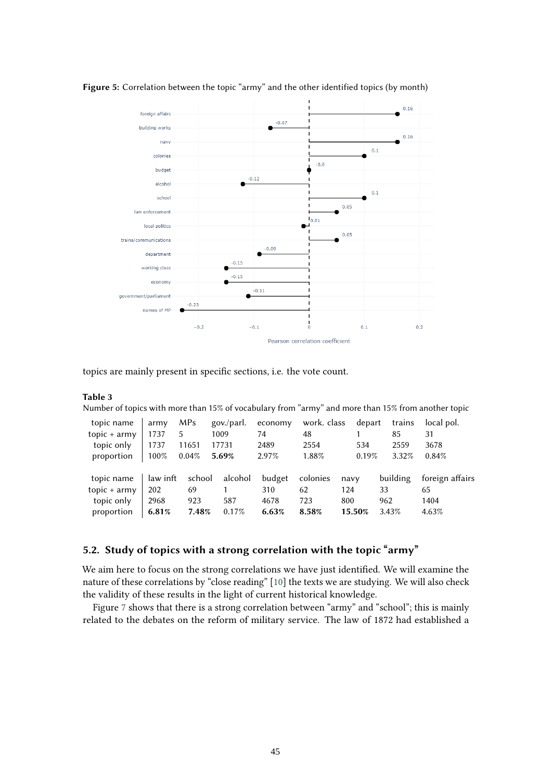

<span id="page-10-0"></span>**Figure 5:** Correlation between the topic "army" and the other identified topics (by month)

topics are mainly present in specific sections, i.e. the vote count.

#### <span id="page-10-1"></span>**Table 3**

Number of topics with more than 15% of vocabulary from "army" and more than 15% from another topic

| topic name     | army     | MP <sub>s</sub> | gov./parl. | economy | work. class | depart | trains   | local pol.      |
|----------------|----------|-----------------|------------|---------|-------------|--------|----------|-----------------|
| $topic + army$ | 1737     | 5               | 1009       | 74      | 48          |        | 85       | 31              |
| topic only     | 1737     | 11651           | 17731      | 2489    | 2554        | 534    | 2559     | 3678            |
| proportion     | 100%     | 0.04%           | 5.69%      | 2.97%   | 1.88%       | 0.19%  | 3.32%    | 0.84%           |
|                |          |                 |            |         |             |        |          |                 |
| topic name     | law inft | school          | alcohol    | budget  | colonies    | navy   | building | foreign affairs |
| topic $+$ army | 202      | 69              |            | 310     | 62          | 124    | 33       | 65              |
| topic only     | 2968     | 923             | 587        | 4678    | 723         | 800    | 962      | 1404            |
| proportion     | 6.81%    | 7.48%           | 0.17%      | 6.63%   | 8.58%       | 15.50% | 3.43%    | 4.63%           |

### **5.2. Study of topics with a strong correlation with the topic "army"**

We aim here to focus on the strong correlations we have just identified. We will examine the nature of these correlations by "close reading" [\[10\]](#page-16-1) the texts we are studying. We will also check the validity of these results in the light of current historical knowledge.

Figure [7](#page-12-0) shows that there is a strong correlation between "army" and "school"; this is mainly related to the debates on the reform of military service. The law of 1872 had established a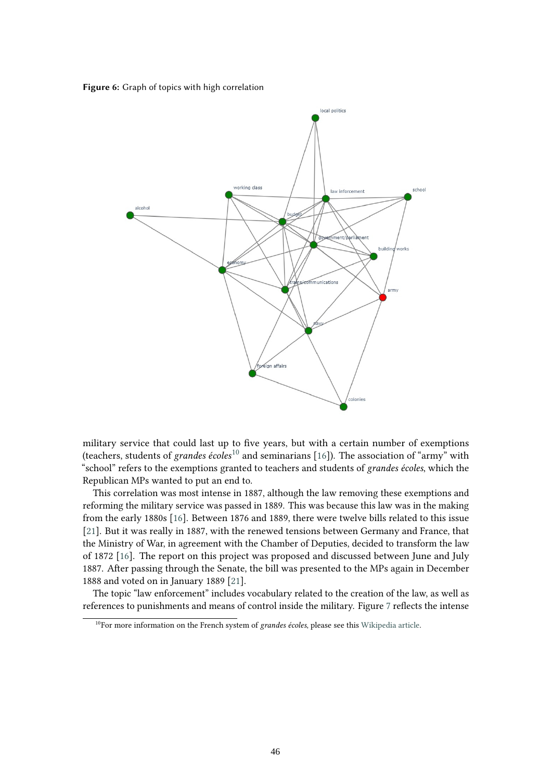<span id="page-11-0"></span>**Figure 6:** Graph of topics with high correlation

![](_page_11_Figure_1.jpeg)

military service that could last up to five years, but with a certain number of exemptions (teachers, students of *grandes écoles*[10](#page-11-1) and seminarians [\[16\]](#page-16-7)). The association of "army" with "school" refers to the exemptions granted to teachers and students of *grandes écoles*, which the Republican MPs wanted to put an end to.

This correlation was most intense in 1887, although the law removing these exemptions and reforming the military service was passed in 1889. This was because this law was in the making from the early 1880s [\[16\]](#page-16-7). Between 1876 and 1889, there were twelve bills related to this issue [\[21\]](#page-16-12). But it was really in 1887, with the renewed tensions between Germany and France, that the Ministry of War, in agreement with the Chamber of Deputies, decided to transform the law of 1872 [\[16\]](#page-16-7). The report on this project was proposed and discussed between June and July 1887. After passing through the Senate, the bill was presented to the MPs again in December 1888 and voted on in January 1889 [\[21\]](#page-16-12).

The topic "law enforcement" includes vocabulary related to the creation of the law, as well as references to punishments and means of control inside the military. Figure [7](#page-12-0) reflects the intense

<span id="page-11-1"></span><sup>&</sup>lt;sup>10</sup>For more information on the French system of *grandes écoles*, please see this [Wikipedia article.](https://en.wikipedia.org/wiki/Grande_%C3 %A9cole)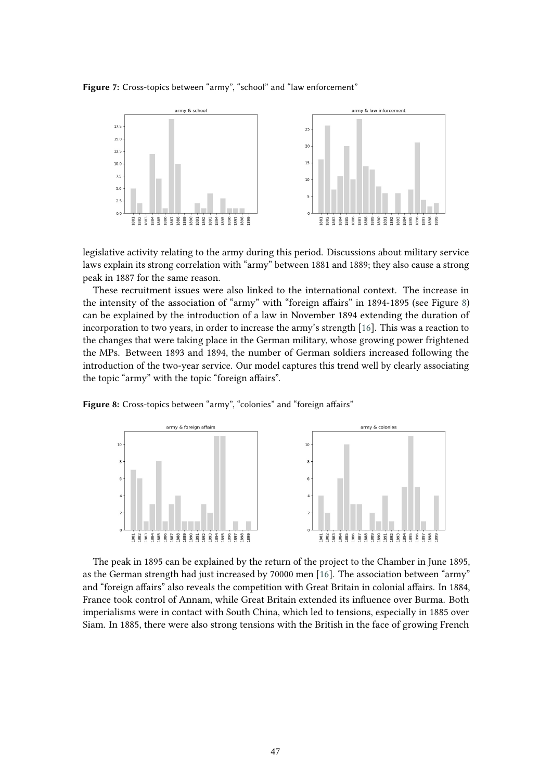<span id="page-12-0"></span>**Figure 7:** Cross-topics between "army", "school" and "law enforcement"

![](_page_12_Figure_1.jpeg)

legislative activity relating to the army during this period. Discussions about military service laws explain its strong correlation with "army" between 1881 and 1889; they also cause a strong peak in 1887 for the same reason.

These recruitment issues were also linked to the international context. The increase in the intensity of the association of "army" with "foreign affairs" in 1894-1895 (see Figure [8\)](#page-12-1) can be explained by the introduction of a law in November 1894 extending the duration of incorporation to two years, in order to increase the army's strength [\[16\]](#page-16-7). This was a reaction to the changes that were taking place in the German military, whose growing power frightened the MPs. Between 1893 and 1894, the number of German soldiers increased following the introduction of the two-year service. Our model captures this trend well by clearly associating the topic "army" with the topic "foreign affairs".

<span id="page-12-1"></span>**Figure 8:** Cross-topics between "army", "colonies" and "foreign affairs"

![](_page_12_Figure_5.jpeg)

The peak in 1895 can be explained by the return of the project to the Chamber in June 1895, as the German strength had just increased by 70000 men [\[16\]](#page-16-7). The association between "army" and "foreign affairs" also reveals the competition with Great Britain in colonial affairs. In 1884, France took control of Annam, while Great Britain extended its influence over Burma. Both imperialisms were in contact with South China, which led to tensions, especially in 1885 over Siam. In 1885, there were also strong tensions with the British in the face of growing French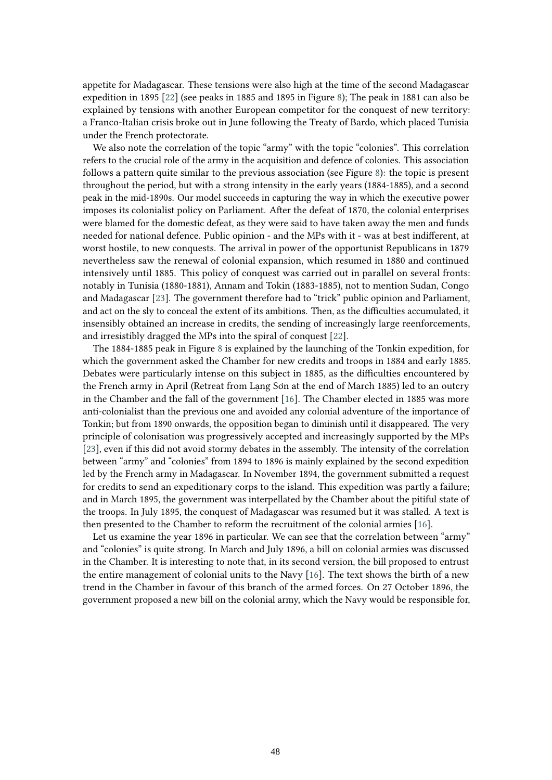appetite for Madagascar. These tensions were also high at the time of the second Madagascar expedition in 1895 [\[22\]](#page-16-13) (see peaks in 1885 and 1895 in Figure [8\)](#page-12-1); The peak in 1881 can also be explained by tensions with another European competitor for the conquest of new territory: a Franco-Italian crisis broke out in June following the Treaty of Bardo, which placed Tunisia under the French protectorate.

We also note the correlation of the topic "army" with the topic "colonies". This correlation refers to the crucial role of the army in the acquisition and defence of colonies. This association follows a pattern quite similar to the previous association (see Figure [8\)](#page-12-1): the topic is present throughout the period, but with a strong intensity in the early years (1884-1885), and a second peak in the mid-1890s. Our model succeeds in capturing the way in which the executive power imposes its colonialist policy on Parliament. After the defeat of 1870, the colonial enterprises were blamed for the domestic defeat, as they were said to have taken away the men and funds needed for national defence. Public opinion - and the MPs with it - was at best indifferent, at worst hostile, to new conquests. The arrival in power of the opportunist Republicans in 1879 nevertheless saw the renewal of colonial expansion, which resumed in 1880 and continued intensively until 1885. This policy of conquest was carried out in parallel on several fronts: notably in Tunisia (1880-1881), Annam and Tokin (1883-1885), not to mention Sudan, Congo and Madagascar [\[23\]](#page-16-14). The government therefore had to "trick" public opinion and Parliament, and act on the sly to conceal the extent of its ambitions. Then, as the difficulties accumulated, it insensibly obtained an increase in credits, the sending of increasingly large reenforcements, and irresistibly dragged the MPs into the spiral of conquest [\[22\]](#page-16-13).

The 1884-1885 peak in Figure [8](#page-12-1) is explained by the launching of the Tonkin expedition, for which the government asked the Chamber for new credits and troops in 1884 and early 1885. Debates were particularly intense on this subject in 1885, as the difficulties encountered by the French army in April (Retreat from Lang Sơn at the end of March 1885) led to an outcry in the Chamber and the fall of the government [\[16\]](#page-16-7). The Chamber elected in 1885 was more anti-colonialist than the previous one and avoided any colonial adventure of the importance of Tonkin; but from 1890 onwards, the opposition began to diminish until it disappeared. The very principle of colonisation was progressively accepted and increasingly supported by the MPs [\[23\]](#page-16-14), even if this did not avoid stormy debates in the assembly. The intensity of the correlation between "army" and "colonies" from 1894 to 1896 is mainly explained by the second expedition led by the French army in Madagascar. In November 1894, the government submitted a request for credits to send an expeditionary corps to the island. This expedition was partly a failure; and in March 1895, the government was interpellated by the Chamber about the pitiful state of the troops. In July 1895, the conquest of Madagascar was resumed but it was stalled. A text is then presented to the Chamber to reform the recruitment of the colonial armies [\[16\]](#page-16-7).

Let us examine the year 1896 in particular. We can see that the correlation between "army" and "colonies" is quite strong. In March and July 1896, a bill on colonial armies was discussed in the Chamber. It is interesting to note that, in its second version, the bill proposed to entrust the entire management of colonial units to the Navy [\[16\]](#page-16-7). The text shows the birth of a new trend in the Chamber in favour of this branch of the armed forces. On 27 October 1896, the government proposed a new bill on the colonial army, which the Navy would be responsible for,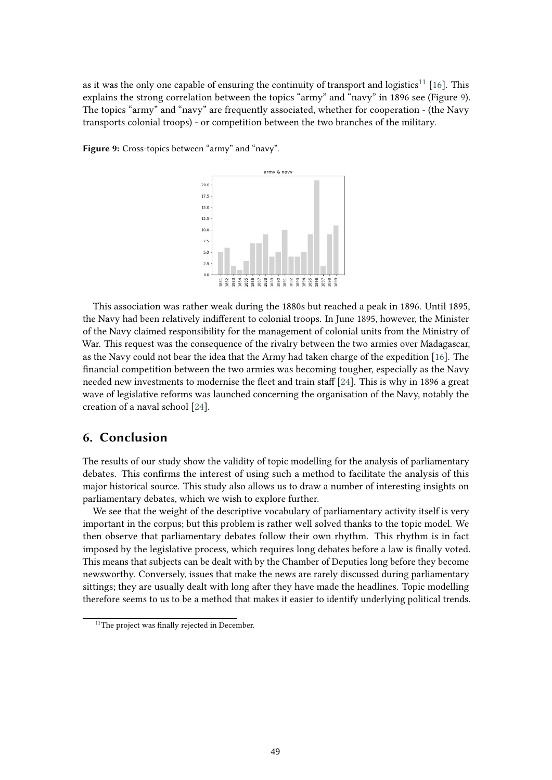as it was the only one capable of ensuring the continuity of transport and logistics<sup>[11](#page-14-0)</sup> [\[16\]](#page-16-7). This explains the strong correlation between the topics "army" and "navy" in 1896 see (Figure [9\)](#page-14-1). The topics "army" and "navy" are frequently associated, whether for cooperation - (the Navy transports colonial troops) - or competition between the two branches of the military.

<span id="page-14-1"></span>**Figure 9:** Cross-topics between "army" and "navy".

![](_page_14_Figure_2.jpeg)

This association was rather weak during the 1880s but reached a peak in 1896. Until 1895, the Navy had been relatively indifferent to colonial troops. In June 1895, however, the Minister of the Navy claimed responsibility for the management of colonial units from the Ministry of War. This request was the consequence of the rivalry between the two armies over Madagascar, as the Navy could not bear the idea that the Army had taken charge of the expedition [\[16\]](#page-16-7). The financial competition between the two armies was becoming tougher, especially as the Navy needed new investments to modernise the fleet and train staff [\[24\]](#page-16-15). This is why in 1896 a great wave of legislative reforms was launched concerning the organisation of the Navy, notably the creation of a naval school [\[24\]](#page-16-15).

# **6. Conclusion**

The results of our study show the validity of topic modelling for the analysis of parliamentary debates. This confirms the interest of using such a method to facilitate the analysis of this major historical source. This study also allows us to draw a number of interesting insights on parliamentary debates, which we wish to explore further.

We see that the weight of the descriptive vocabulary of parliamentary activity itself is very important in the corpus; but this problem is rather well solved thanks to the topic model. We then observe that parliamentary debates follow their own rhythm. This rhythm is in fact imposed by the legislative process, which requires long debates before a law is finally voted. This means that subjects can be dealt with by the Chamber of Deputies long before they become newsworthy. Conversely, issues that make the news are rarely discussed during parliamentary sittings; they are usually dealt with long after they have made the headlines. Topic modelling therefore seems to us to be a method that makes it easier to identify underlying political trends.

<span id="page-14-0"></span><sup>&</sup>lt;sup>11</sup>The project was finally rejected in December.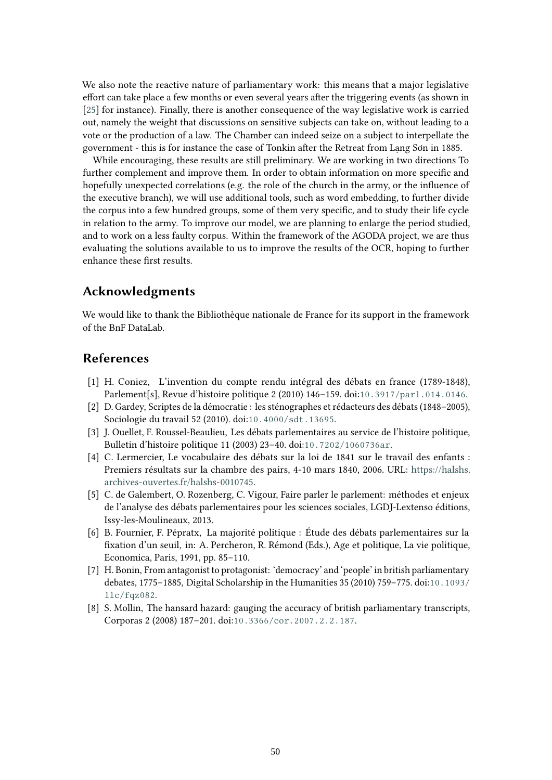We also note the reactive nature of parliamentary work: this means that a major legislative effort can take place a few months or even several years after the triggering events (as shown in [\[25\]](#page-16-16) for instance). Finally, there is another consequence of the way legislative work is carried out, namely the weight that discussions on sensitive subjects can take on, without leading to a vote or the production of a law. The Chamber can indeed seize on a subject to interpellate the government - this is for instance the case of Tonkin after the Retreat from Lạng Sơn in 1885.

While encouraging, these results are still preliminary. We are working in two directions To further complement and improve them. In order to obtain information on more specific and hopefully unexpected correlations (e.g. the role of the church in the army, or the influence of the executive branch), we will use additional tools, such as word embedding, to further divide the corpus into a few hundred groups, some of them very specific, and to study their life cycle in relation to the army. To improve our model, we are planning to enlarge the period studied, and to work on a less faulty corpus. Within the framework of the AGODA project, we are thus evaluating the solutions available to us to improve the results of the OCR, hoping to further enhance these first results.

# **Acknowledgments**

We would like to thank the Bibliothèque nationale de France for its support in the framework of the BnF DataLab.

## **References**

- <span id="page-15-0"></span>[1] H. Coniez, L'invention du compte rendu intégral des débats en france (1789-1848), Parlement[s], Revue d'histoire politique 2 (2010) 146–159. doi:[10.3917/parl.014.0146](http://dx.doi.org/10.3917/parl.014.0146).
- <span id="page-15-1"></span>[2] D. Gardey, Scriptes de la démocratie : les sténographes et rédacteurs des débats (1848–2005), Sociologie du travail 52 (2010). doi:[10.4000/sdt.13695](http://dx.doi.org/10.4000/sdt.13695).
- <span id="page-15-2"></span>[3] J. Ouellet, F. Roussel-Beaulieu, Les débats parlementaires au service de l'histoire politique, Bulletin d'histoire politique 11 (2003) 23–40. doi:[10.7202/1060736ar](http://dx.doi.org/10.7202/1060736ar).
- <span id="page-15-3"></span>[4] C. Lermercier, Le vocabulaire des débats sur la loi de 1841 sur le travail des enfants : Premiers résultats sur la chambre des pairs, 4-10 mars 1840, 2006. URL: [https://halshs.](https://halshs.archives-ouvertes.fr/halshs-0010745) [archives-ouvertes.fr/halshs-0010745.](https://halshs.archives-ouvertes.fr/halshs-0010745)
- <span id="page-15-4"></span>[5] C. de Galembert, O. Rozenberg, C. Vigour, Faire parler le parlement: méthodes et enjeux de l'analyse des débats parlementaires pour les sciences sociales, LGDJ-Lextenso éditions, Issy-les-Moulineaux, 2013.
- <span id="page-15-5"></span>[6] B. Fournier, F. Pépratx, La majorité politique : Étude des débats parlementaires sur la fixation d'un seuil, in: A. Percheron, R. Rémond (Eds.), Age et politique, La vie politique, Economica, Paris, 1991, pp. 85–110.
- <span id="page-15-6"></span>[7] H. Bonin, From antagonist to protagonist: 'democracy' and 'people' in british parliamentary debates, 1775–1885, Digital Scholarship in the Humanities 35 (2010) 759–775. doi:[10.1093/](http://dx.doi.org/10.1093/llc/fqz082) [llc/fqz082](http://dx.doi.org/10.1093/llc/fqz082).
- <span id="page-15-7"></span>[8] S. Mollin, The hansard hazard: gauging the accuracy of british parliamentary transcripts, Corporas 2 (2008) 187–201. doi:[10.3366/cor.2007.2.2.187](http://dx.doi.org/10.3366/cor.2007.2.2.187).